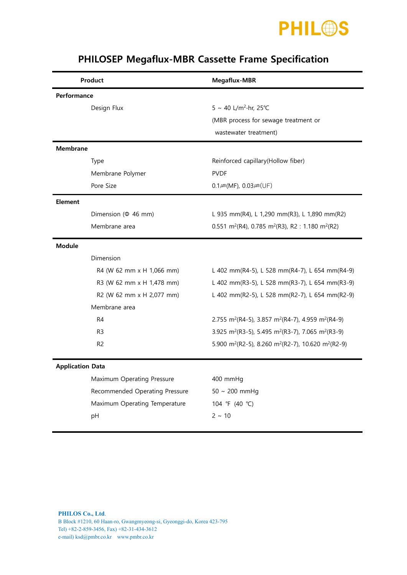

| Product                 |                                | Megaflux-MBR                                                                           |  |  |
|-------------------------|--------------------------------|----------------------------------------------------------------------------------------|--|--|
| Performance             |                                |                                                                                        |  |  |
|                         | Design Flux                    | 5 ~ 40 L/m <sup>2</sup> ·hr, 25°C                                                      |  |  |
|                         |                                | (MBR process for sewage treatment or                                                   |  |  |
|                         |                                | wastewater treatment)                                                                  |  |  |
| <b>Membrane</b>         |                                |                                                                                        |  |  |
|                         | Type                           | Reinforced capillary(Hollow fiber)                                                     |  |  |
|                         | Membrane Polymer               | <b>PVDF</b>                                                                            |  |  |
|                         | Pore Size                      | $0.1 \mu m(MF)$ , $0.03 \mu m(UF)$                                                     |  |  |
| <b>Element</b>          |                                |                                                                                        |  |  |
|                         | Dimension ( $\Phi$ 46 mm)      | L 935 mm(R4), L 1,290 mm(R3), L 1,890 mm(R2)                                           |  |  |
|                         | Membrane area                  | 0.551 m <sup>2</sup> (R4), 0.785 m <sup>2</sup> (R3), R2 : 1.180 m <sup>2</sup> (R2)   |  |  |
| <b>Module</b>           |                                |                                                                                        |  |  |
|                         | Dimension                      |                                                                                        |  |  |
|                         | R4 (W 62 mm x H 1,066 mm)      | L 402 mm(R4-5), L 528 mm(R4-7), L 654 mm(R4-9)                                         |  |  |
|                         | R3 (W 62 mm x H 1,478 mm)      | L 402 mm(R3-5), L 528 mm(R3-7), L 654 mm(R3-9)                                         |  |  |
|                         | R2 (W 62 mm x H 2,077 mm)      | L 402 mm(R2-5), L 528 mm(R2-7), L 654 mm(R2-9)                                         |  |  |
|                         | Membrane area                  |                                                                                        |  |  |
|                         | R <sub>4</sub>                 | 2.755 m <sup>2</sup> (R4-5), 3.857 m <sup>2</sup> (R4-7), 4.959 m <sup>2</sup> (R4-9)  |  |  |
|                         | R <sub>3</sub>                 | 3.925 m <sup>2</sup> (R3-5), 5.495 m <sup>2</sup> (R3-7), 7.065 m <sup>2</sup> (R3-9)  |  |  |
|                         | R <sub>2</sub>                 | 5.900 m <sup>2</sup> (R2-5), 8.260 m <sup>2</sup> (R2-7), 10.620 m <sup>2</sup> (R2-9) |  |  |
| <b>Application Data</b> |                                |                                                                                        |  |  |
|                         | Maximum Operating Pressure     | 400 mmHg                                                                               |  |  |
|                         | Recommended Operating Pressure | $50 \sim 200$ mmHg                                                                     |  |  |
|                         | Maximum Operating Temperature  | 104 °F (40 °C)                                                                         |  |  |
|                         | pH                             | $2 \sim 10$                                                                            |  |  |
|                         |                                |                                                                                        |  |  |

## PHILOSEP Megaflux-MBR Cassette Frame Specification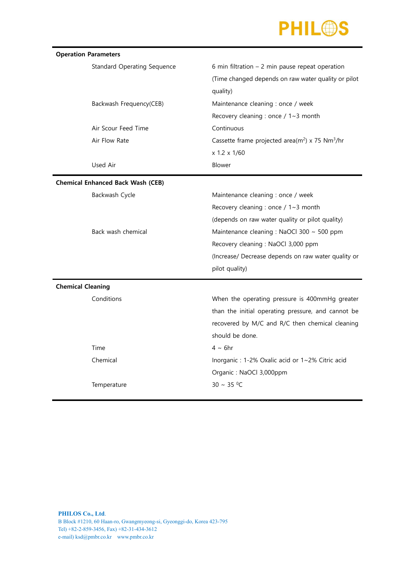

| <b>Operation Parameters</b>              |                                    |                                                                         |  |  |  |
|------------------------------------------|------------------------------------|-------------------------------------------------------------------------|--|--|--|
|                                          | <b>Standard Operating Sequence</b> | 6 min filtration $-2$ min pause repeat operation                        |  |  |  |
|                                          |                                    | (Time changed depends on raw water quality or pilot                     |  |  |  |
|                                          |                                    | quality)                                                                |  |  |  |
|                                          | Backwash Frequency(CEB)            | Maintenance cleaning : once / week                                      |  |  |  |
|                                          |                                    | Recovery cleaning : once / 1~3 month                                    |  |  |  |
|                                          | Air Scour Feed Time                | Continuous                                                              |  |  |  |
|                                          | Air Flow Rate                      | Cassette frame projected area(m <sup>2</sup> ) x 75 Nm <sup>3</sup> /hr |  |  |  |
|                                          |                                    | x 1.2 x 1/60                                                            |  |  |  |
|                                          | Used Air                           | Blower                                                                  |  |  |  |
| <b>Chemical Enhanced Back Wash (CEB)</b> |                                    |                                                                         |  |  |  |
|                                          | Backwash Cycle                     | Maintenance cleaning : once / week                                      |  |  |  |
|                                          |                                    | Recovery cleaning : once / $1~3$ month                                  |  |  |  |
|                                          |                                    | (depends on raw water quality or pilot quality)                         |  |  |  |
|                                          | Back wash chemical                 | Maintenance cleaning : NaOCl 300 ~ 500 ppm                              |  |  |  |
|                                          |                                    | Recovery cleaning : NaOCl 3,000 ppm                                     |  |  |  |
|                                          |                                    | (Increase/ Decrease depends on raw water quality or                     |  |  |  |
|                                          |                                    | pilot quality)                                                          |  |  |  |
| <b>Chemical Cleaning</b>                 |                                    |                                                                         |  |  |  |
|                                          | Conditions                         | When the operating pressure is 400mmHg greater                          |  |  |  |
|                                          |                                    | than the initial operating pressure, and cannot be                      |  |  |  |
|                                          |                                    | recovered by M/C and R/C then chemical cleaning                         |  |  |  |
|                                          |                                    | should be done.                                                         |  |  |  |
|                                          | Time                               | $4 \sim 6$ hr                                                           |  |  |  |
|                                          | Chemical                           | Inorganic : 1-2% Oxalic acid or 1~2% Citric acid                        |  |  |  |
|                                          |                                    | Organic: NaOCl 3,000ppm                                                 |  |  |  |
|                                          | Temperature                        | $30 \sim 35 °C$                                                         |  |  |  |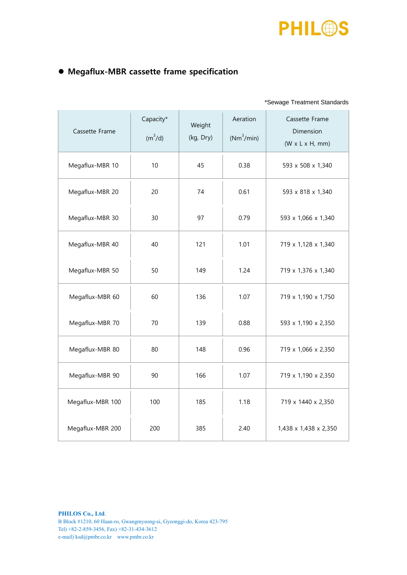

## Megaflux-MBR cassette frame specification

|--|

| Cassette Frame   | Capacity*<br>$(m^3/d)$ | Weight<br>(kg, Dry) | Aeration<br>$(Nm^3/min)$ | Cassette Frame<br>Dimension<br>$(W \times L \times H, mm)$ |
|------------------|------------------------|---------------------|--------------------------|------------------------------------------------------------|
| Megaflux-MBR 10  | 10                     | 45                  | 0.38                     | 593 x 508 x 1,340                                          |
| Megaflux-MBR 20  | 20                     | 74                  | 0.61                     | 593 x 818 x 1,340                                          |
| Megaflux-MBR 30  | 30                     | 97                  | 0.79                     | 593 x 1,066 x 1,340                                        |
| Megaflux-MBR 40  | 40                     | 121                 | 1.01                     | 719 x 1,128 x 1,340                                        |
| Megaflux-MBR 50  | 50                     | 149                 | 1.24                     | 719 x 1,376 x 1,340                                        |
| Megaflux-MBR 60  | 60                     | 136                 | 1.07                     | 719 x 1,190 x 1,750                                        |
| Megaflux-MBR 70  | 70                     | 139                 | 0.88                     | 593 x 1,190 x 2,350                                        |
| Megaflux-MBR 80  | 80                     | 148                 | 0.96                     | 719 x 1,066 x 2,350                                        |
| Megaflux-MBR 90  | 90                     | 166                 | 1.07                     | 719 x 1,190 x 2,350                                        |
| Megaflux-MBR 100 | 100                    | 185                 | 1.18                     | 719 x 1440 x 2,350                                         |
| Megaflux-MBR 200 | 200                    | 385                 | 2.40                     | 1,438 x 1,438 x 2,350                                      |